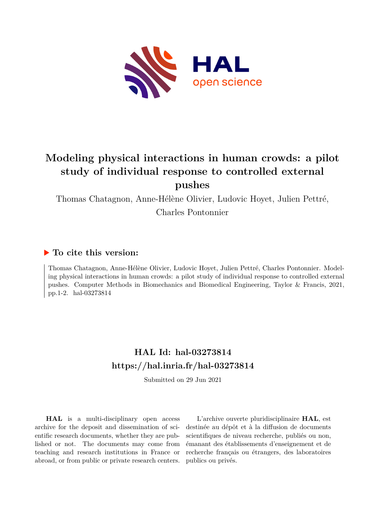

# **Modeling physical interactions in human crowds: a pilot study of individual response to controlled external pushes**

Thomas Chatagnon, Anne-Hélène Olivier, Ludovic Hoyet, Julien Pettré,

Charles Pontonnier

# **To cite this version:**

Thomas Chatagnon, Anne-Hélène Olivier, Ludovic Hoyet, Julien Pettré, Charles Pontonnier. Modeling physical interactions in human crowds: a pilot study of individual response to controlled external pushes. Computer Methods in Biomechanics and Biomedical Engineering, Taylor & Francis, 2021, pp.1-2. hal-03273814

# **HAL Id: hal-03273814 <https://hal.inria.fr/hal-03273814>**

Submitted on 29 Jun 2021

**HAL** is a multi-disciplinary open access archive for the deposit and dissemination of scientific research documents, whether they are published or not. The documents may come from teaching and research institutions in France or abroad, or from public or private research centers.

L'archive ouverte pluridisciplinaire **HAL**, est destinée au dépôt et à la diffusion de documents scientifiques de niveau recherche, publiés ou non, émanant des établissements d'enseignement et de recherche français ou étrangers, des laboratoires publics ou privés.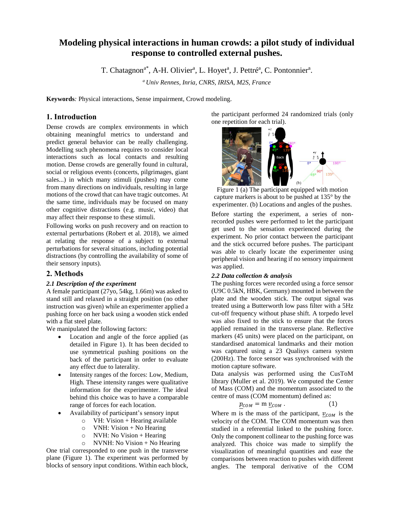# **Modeling physical interactions in human crowds: a pilot study of individual response to controlled external pushes.**

T. Chatagnon<sup>a\*</sup>, A-H. Olivier<sup>a</sup>, L. Hoyet<sup>a</sup>, J. Pettré<sup>a</sup>, C. Pontonnier<sup>a</sup>.

*<sup>a</sup>Univ Rennes, Inria, CNRS, IRISA, M2S, France*

**Keywords***:* Physical interactions, Sense impairment, Crowd modeling.

## **1. Introduction**

Dense crowds are complex environments in which obtaining meaningful metrics to understand and predict general behavior can be really challenging. Modelling such phenomena requires to consider local interactions such as local contacts and resulting motion. Dense crowds are generally found in cultural, social or religious events (concerts, pilgrimages, giant sales...) in which many stimuli (pushes) may come from many directions on individuals, resulting in large motions of the crowd that can have tragic outcomes. At the same time, individuals may be focused on many other cognitive distractions (e.g. music, video) that may affect their response to these stimuli.

Following works on push recovery and on reaction to external perturbations (Robert et al. 2018), we aimed at relating the response of a subject to external perturbations for several situations, including potential distractions (by controlling the availability of some of their sensory inputs).

### **2. Methods**

#### *2.1 Description of the experiment*

A female participant (27yo, 54kg, 1.66m) was asked to stand still and relaxed in a straight position (no other instruction was given) while an experimenter applied a pushing force on her back using a wooden stick ended with a flat steel plate.

We manipulated the following factors:

- Location and angle of the force applied (as detailed in Figure 1). It has been decided to use symmetrical pushing positions on the back of the participant in order to evaluate any effect due to laterality.
- Intensity ranges of the forces: Low, Medium, High. These intensity ranges were qualitative information for the experimenter. The ideal behind this choice was to have a comparable range of forces for each location.
- Availability of participant's sensory input
	- $\circ$  VH: Vision + Hearing available
	- $\circ$  VNH: Vision + No Hearing
	- $\circ$  NVH: No Vision + Hearing
	- $\circ$  NVNH: No Vision + No Hearing

One trial corresponded to one push in the transverse plane (Figure 1). The experiment was performed by blocks of sensory input conditions. Within each block,

the participant performed 24 randomized trials (only one repetition for each trial).



Figure 1 (a) The participant equipped with motion capture markers is about to be pushed at 135° by the experimenter. (b) Locations and angles of the pushes.

Before starting the experiment, a series of nonrecorded pushes were performed to let the participant get used to the sensation experienced during the experiment. No prior contact between the participant and the stick occurred before pushes. The participant was able to clearly locate the experimenter using peripheral vision and hearing if no sensory impairment was applied.

#### *2.2 Data collection & analysis*

The pushing forces were recorded using a force sensor (U9C 0.5kN, HBK, Germany) mounted in between the plate and the wooden stick. The output signal was treated using a Butterworth low pass filter with a 5Hz cut-off frequency without phase shift. A torpedo level was also fixed to the stick to ensure that the forces applied remained in the transverse plane. Reflective markers (45 units) were placed on the participant, on standardised anatomical landmarks and their motion was captured using a 23 Qualisys camera system (200Hz). The force sensor was synchronised with the motion capture software.

Data analysis was performed using the CusToM library (Muller et al. 2019). We computed the Center of Mass (COM) and the momentum associated to the centre of mass (COM momentum) defined as:

$$
p_{COM} = m \underline{v}_{COM} \,. \tag{1}
$$

Where m is the mass of the participant,  $v_{COM}$  is the velocity of the COM. The COM momentum was then studied in a referential linked to the pushing force. Only the component collinear to the pushing force was analyzed. This choice was made to simplify the visualization of meaningful quantities and ease the comparisons between reaction to pushes with different angles. The temporal derivative of the COM